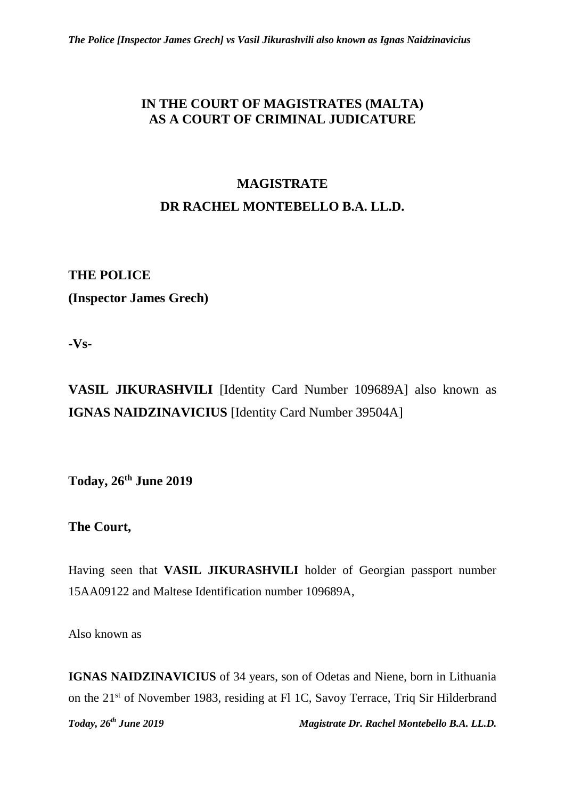# **IN THE COURT OF MAGISTRATES (MALTA) AS A COURT OF CRIMINAL JUDICATURE**

# **MAGISTRATE DR RACHEL MONTEBELLO B.A. LL.D.**

# **THE POLICE**

**(Inspector James Grech)**

**-Vs-**

**VASIL JIKURASHVILI** [Identity Card Number 109689A] also known as **IGNAS NAIDZINAVICIUS** [Identity Card Number 39504A]

**Today, 26th June 2019**

**The Court,**

Having seen that **VASIL JIKURASHVILI** holder of Georgian passport number 15AA09122 and Maltese Identification number 109689A,

Also known as

**IGNAS NAIDZINAVICIUS** of 34 years, son of Odetas and Niene, born in Lithuania on the 21st of November 1983, residing at Fl 1C, Savoy Terrace, Triq Sir Hilderbrand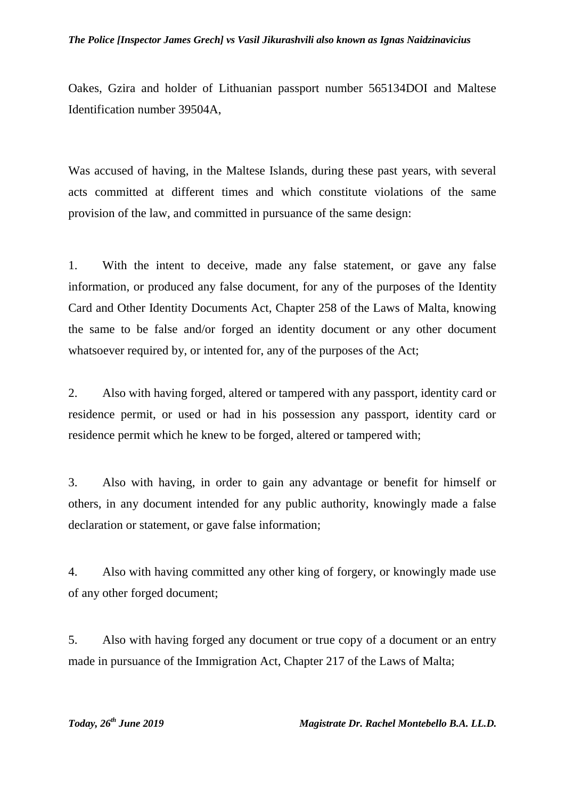#### *The Police [Inspector James Grech] vs Vasil Jikurashvili also known as Ignas Naidzinavicius*

Oakes, Gzira and holder of Lithuanian passport number 565134DOI and Maltese Identification number 39504A,

Was accused of having, in the Maltese Islands, during these past years, with several acts committed at different times and which constitute violations of the same provision of the law, and committed in pursuance of the same design:

1. With the intent to deceive, made any false statement, or gave any false information, or produced any false document, for any of the purposes of the Identity Card and Other Identity Documents Act, Chapter 258 of the Laws of Malta, knowing the same to be false and/or forged an identity document or any other document whatsoever required by, or intented for, any of the purposes of the Act;

2. Also with having forged, altered or tampered with any passport, identity card or residence permit, or used or had in his possession any passport, identity card or residence permit which he knew to be forged, altered or tampered with;

3. Also with having, in order to gain any advantage or benefit for himself or others, in any document intended for any public authority, knowingly made a false declaration or statement, or gave false information;

4. Also with having committed any other king of forgery, or knowingly made use of any other forged document;

5. Also with having forged any document or true copy of a document or an entry made in pursuance of the Immigration Act, Chapter 217 of the Laws of Malta;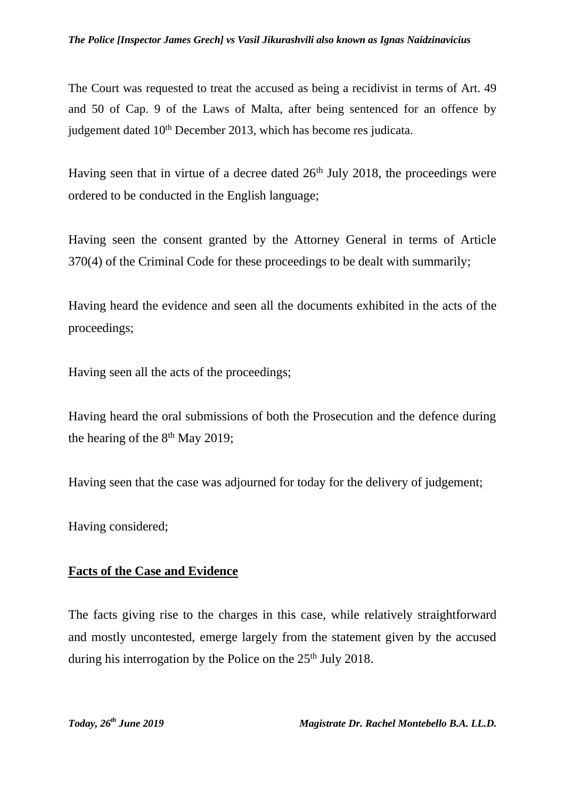#### *The Police [Inspector James Grech] vs Vasil Jikurashvili also known as Ignas Naidzinavicius*

The Court was requested to treat the accused as being a recidivist in terms of Art. 49 and 50 of Cap. 9 of the Laws of Malta, after being sentenced for an offence by judgement dated 10<sup>th</sup> December 2013, which has become res judicata.

Having seen that in virtue of a decree dated  $26<sup>th</sup>$  July 2018, the proceedings were ordered to be conducted in the English language;

Having seen the consent granted by the Attorney General in terms of Article 370(4) of the Criminal Code for these proceedings to be dealt with summarily;

Having heard the evidence and seen all the documents exhibited in the acts of the proceedings;

Having seen all the acts of the proceedings;

Having heard the oral submissions of both the Prosecution and the defence during the hearing of the  $8<sup>th</sup>$  May 2019;

Having seen that the case was adjourned for today for the delivery of judgement;

Having considered;

#### **Facts of the Case and Evidence**

The facts giving rise to the charges in this case, while relatively straightforward and mostly uncontested, emerge largely from the statement given by the accused during his interrogation by the Police on the  $25<sup>th</sup>$  July 2018.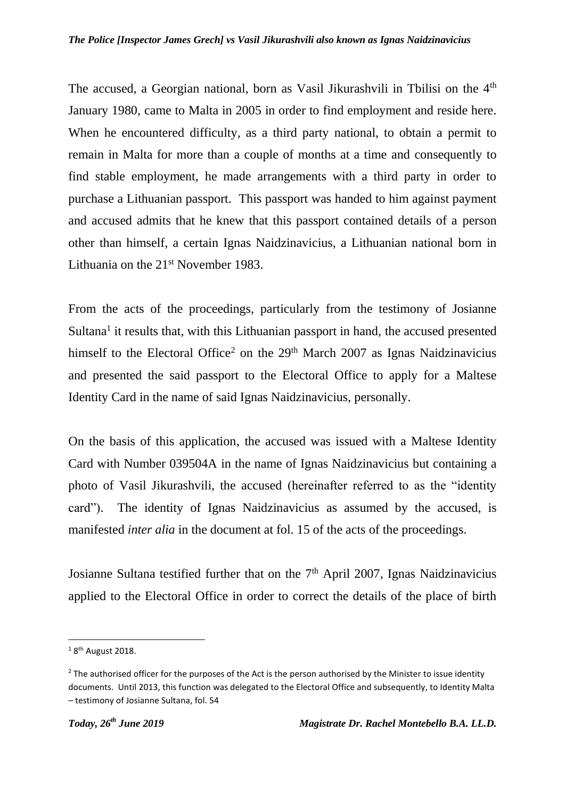The accused, a Georgian national, born as Vasil Jikurashvili in Tbilisi on the 4<sup>th</sup> January 1980, came to Malta in 2005 in order to find employment and reside here. When he encountered difficulty, as a third party national, to obtain a permit to remain in Malta for more than a couple of months at a time and consequently to find stable employment, he made arrangements with a third party in order to purchase a Lithuanian passport. This passport was handed to him against payment and accused admits that he knew that this passport contained details of a person other than himself, a certain Ignas Naidzinavicius, a Lithuanian national born in Lithuania on the 21<sup>st</sup> November 1983.

From the acts of the proceedings, particularly from the testimony of Josianne Sultana<sup>1</sup> it results that, with this Lithuanian passport in hand, the accused presented himself to the Electoral Office<sup>2</sup> on the 29<sup>th</sup> March 2007 as Ignas Naidzinavicius and presented the said passport to the Electoral Office to apply for a Maltese Identity Card in the name of said Ignas Naidzinavicius, personally.

On the basis of this application, the accused was issued with a Maltese Identity Card with Number 039504A in the name of Ignas Naidzinavicius but containing a photo of Vasil Jikurashvili, the accused (hereinafter referred to as the "identity card"). The identity of Ignas Naidzinavicius as assumed by the accused, is manifested *inter alia* in the document at fol. 15 of the acts of the proceedings.

Josianne Sultana testified further that on the 7<sup>th</sup> April 2007, Ignas Naidzinavicius applied to the Electoral Office in order to correct the details of the place of birth

 $18$ <sup>th</sup> August 2018.

 $2$  The authorised officer for the purposes of the Act is the person authorised by the Minister to issue identity documents. Until 2013, this function was delegated to the Electoral Office and subsequently, to Identity Malta – testimony of Josianne Sultana, fol. 54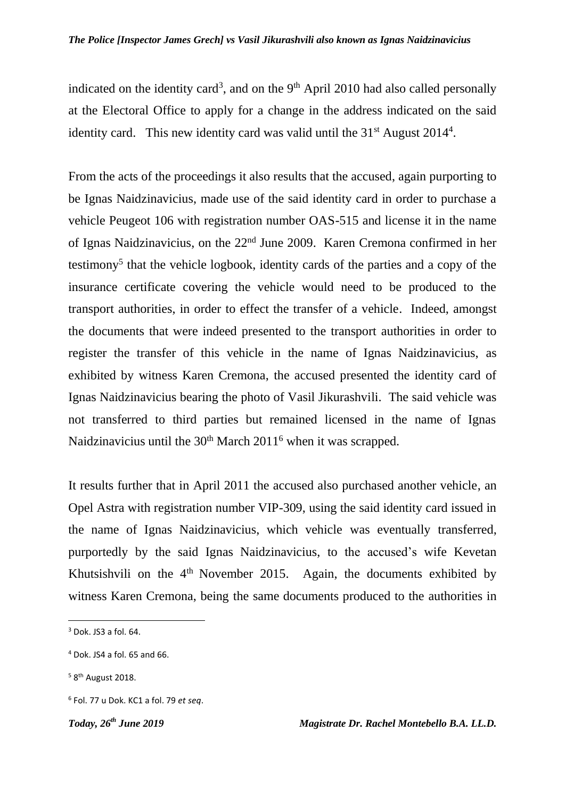indicated on the identity card<sup>3</sup>, and on the  $9<sup>th</sup>$  April 2010 had also called personally at the Electoral Office to apply for a change in the address indicated on the said identity card. This new identity card was valid until the  $31<sup>st</sup>$  August 2014<sup>4</sup>.

From the acts of the proceedings it also results that the accused, again purporting to be Ignas Naidzinavicius, made use of the said identity card in order to purchase a vehicle Peugeot 106 with registration number OAS-515 and license it in the name of Ignas Naidzinavicius, on the 22nd June 2009. Karen Cremona confirmed in her testimony<sup>5</sup> that the vehicle logbook, identity cards of the parties and a copy of the insurance certificate covering the vehicle would need to be produced to the transport authorities, in order to effect the transfer of a vehicle. Indeed, amongst the documents that were indeed presented to the transport authorities in order to register the transfer of this vehicle in the name of Ignas Naidzinavicius, as exhibited by witness Karen Cremona, the accused presented the identity card of Ignas Naidzinavicius bearing the photo of Vasil Jikurashvili. The said vehicle was not transferred to third parties but remained licensed in the name of Ignas Naidzinavicius until the  $30<sup>th</sup>$  March  $2011<sup>6</sup>$  when it was scrapped.

It results further that in April 2011 the accused also purchased another vehicle, an Opel Astra with registration number VIP-309, using the said identity card issued in the name of Ignas Naidzinavicius, which vehicle was eventually transferred, purportedly by the said Ignas Naidzinavicius, to the accused's wife Kevetan Khutsishvili on the  $4<sup>th</sup>$  November 2015. Again, the documents exhibited by witness Karen Cremona, being the same documents produced to the authorities in

 $3$  Dok. JS3 a fol. 64.

 $4$  Dok. JS4 a fol. 65 and 66.

<sup>&</sup>lt;sup>5</sup> 8<sup>th</sup> August 2018.

<sup>6</sup> Fol. 77 u Dok. KC1 a fol. 79 *et seq*.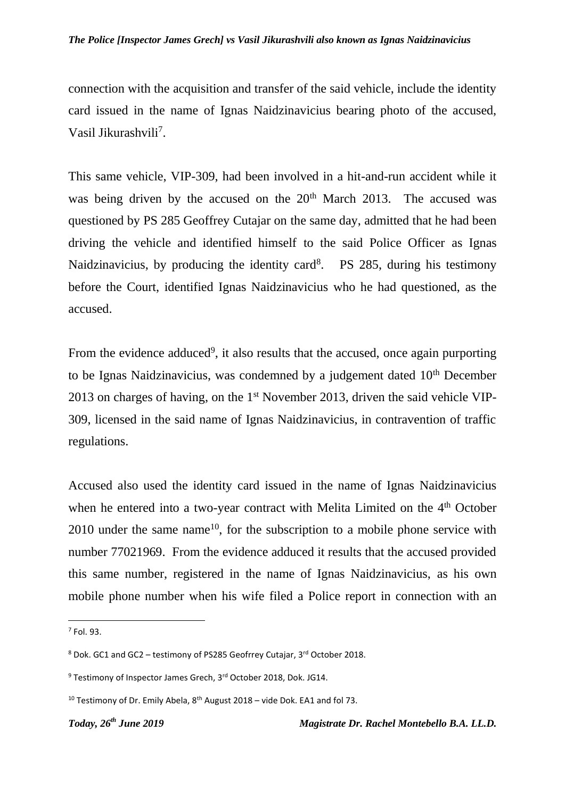#### *The Police [Inspector James Grech] vs Vasil Jikurashvili also known as Ignas Naidzinavicius*

connection with the acquisition and transfer of the said vehicle, include the identity card issued in the name of Ignas Naidzinavicius bearing photo of the accused, Vasil Jikurashvili<sup>7</sup>.

This same vehicle, VIP-309, had been involved in a hit-and-run accident while it was being driven by the accused on the 20<sup>th</sup> March 2013. The accused was questioned by PS 285 Geoffrey Cutajar on the same day, admitted that he had been driving the vehicle and identified himself to the said Police Officer as Ignas Naidzinavicius, by producing the identity card<sup>8</sup>. PS 285, during his testimony before the Court, identified Ignas Naidzinavicius who he had questioned, as the accused.

From the evidence adduced<sup>9</sup>, it also results that the accused, once again purporting to be Ignas Naidzinavicius, was condemned by a judgement dated  $10<sup>th</sup>$  December 2013 on charges of having, on the 1<sup>st</sup> November 2013, driven the said vehicle VIP-309, licensed in the said name of Ignas Naidzinavicius, in contravention of traffic regulations.

Accused also used the identity card issued in the name of Ignas Naidzinavicius when he entered into a two-year contract with Melita Limited on the 4<sup>th</sup> October  $2010$  under the same name<sup>10</sup>, for the subscription to a mobile phone service with number 77021969. From the evidence adduced it results that the accused provided this same number, registered in the name of Ignas Naidzinavicius, as his own mobile phone number when his wife filed a Police report in connection with an

 $<sup>7</sup>$  Fol. 93.</sup>

 $8$  Dok. GC1 and GC2 – testimony of PS285 Geofrrey Cutajar, 3<sup>rd</sup> October 2018.

<sup>&</sup>lt;sup>9</sup> Testimony of Inspector James Grech, 3<sup>rd</sup> October 2018, Dok. JG14.

<sup>&</sup>lt;sup>10</sup> Testimony of Dr. Emily Abela,  $8<sup>th</sup>$  August 2018 – vide Dok. EA1 and fol 73.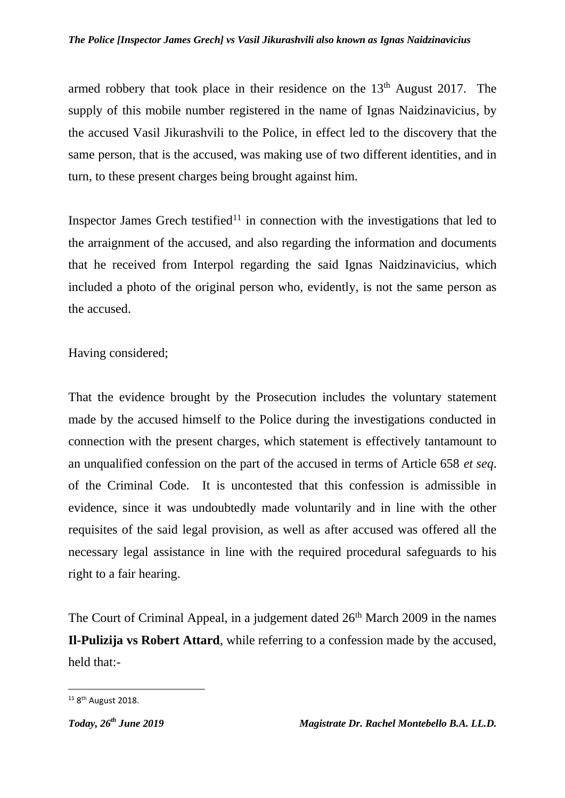armed robbery that took place in their residence on the  $13<sup>th</sup>$  August 2017. The supply of this mobile number registered in the name of Ignas Naidzinavicius, by the accused Vasil Jikurashvili to the Police, in effect led to the discovery that the same person, that is the accused, was making use of two different identities, and in turn, to these present charges being brought against him.

Inspector James Grech testified<sup>11</sup> in connection with the investigations that led to the arraignment of the accused, and also regarding the information and documents that he received from Interpol regarding the said Ignas Naidzinavicius, which included a photo of the original person who, evidently, is not the same person as the accused.

Having considered;

That the evidence brought by the Prosecution includes the voluntary statement made by the accused himself to the Police during the investigations conducted in connection with the present charges, which statement is effectively tantamount to an unqualified confession on the part of the accused in terms of Article 658 *et seq*. of the Criminal Code. It is uncontested that this confession is admissible in evidence, since it was undoubtedly made voluntarily and in line with the other requisites of the said legal provision, as well as after accused was offered all the necessary legal assistance in line with the required procedural safeguards to his right to a fair hearing.

The Court of Criminal Appeal, in a judgement dated  $26<sup>th</sup>$  March 2009 in the names **Il-Pulizija vs Robert Attard**, while referring to a confession made by the accused, held that:-

 $\overline{a}$ 

<sup>&</sup>lt;sup>11</sup> 8<sup>th</sup> August 2018.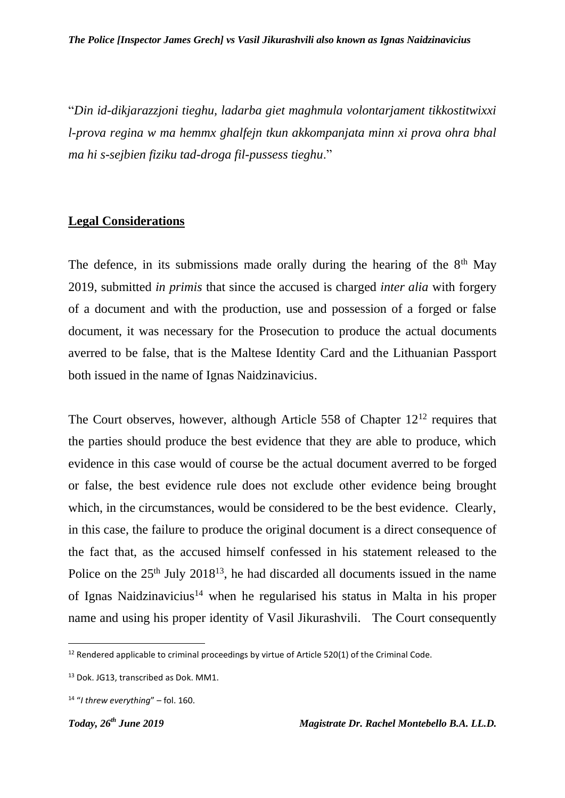"*Din id-dikjarazzjoni tieghu, ladarba giet maghmula volontarjament tikkostitwixxi l-prova regina w ma hemmx ghalfejn tkun akkompanjata minn xi prova ohra bhal ma hi s-sejbien fiziku tad-droga fil-pussess tieghu*."

#### **Legal Considerations**

The defence, in its submissions made orally during the hearing of the  $8<sup>th</sup>$  May 2019, submitted *in primis* that since the accused is charged *inter alia* with forgery of a document and with the production, use and possession of a forged or false document, it was necessary for the Prosecution to produce the actual documents averred to be false, that is the Maltese Identity Card and the Lithuanian Passport both issued in the name of Ignas Naidzinavicius.

The Court observes, however, although Article 558 of Chapter  $12^{12}$  requires that the parties should produce the best evidence that they are able to produce, which evidence in this case would of course be the actual document averred to be forged or false, the best evidence rule does not exclude other evidence being brought which, in the circumstances, would be considered to be the best evidence. Clearly, in this case, the failure to produce the original document is a direct consequence of the fact that, as the accused himself confessed in his statement released to the Police on the  $25<sup>th</sup>$  July  $2018<sup>13</sup>$ , he had discarded all documents issued in the name of Ignas Naidzinavicius<sup>14</sup> when he regularised his status in Malta in his proper name and using his proper identity of Vasil Jikurashvili. The Court consequently

1

 $12$  Rendered applicable to criminal proceedings by virtue of Article 520(1) of the Criminal Code.

<sup>13</sup> Dok. JG13, transcribed as Dok. MM1.

<sup>14</sup> "*I threw everything*" – fol. 160.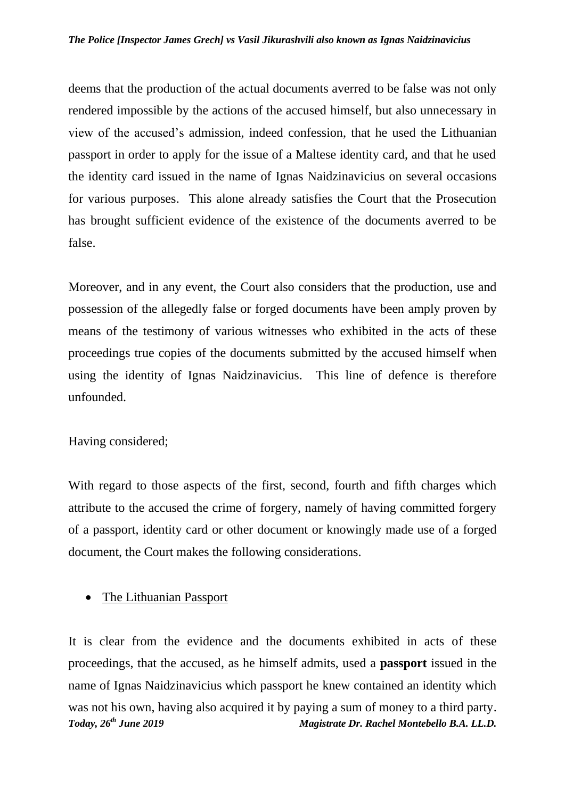deems that the production of the actual documents averred to be false was not only rendered impossible by the actions of the accused himself, but also unnecessary in view of the accused's admission, indeed confession, that he used the Lithuanian passport in order to apply for the issue of a Maltese identity card, and that he used the identity card issued in the name of Ignas Naidzinavicius on several occasions for various purposes. This alone already satisfies the Court that the Prosecution has brought sufficient evidence of the existence of the documents averred to be false.

Moreover, and in any event, the Court also considers that the production, use and possession of the allegedly false or forged documents have been amply proven by means of the testimony of various witnesses who exhibited in the acts of these proceedings true copies of the documents submitted by the accused himself when using the identity of Ignas Naidzinavicius. This line of defence is therefore unfounded.

## Having considered;

With regard to those aspects of the first, second, fourth and fifth charges which attribute to the accused the crime of forgery, namely of having committed forgery of a passport, identity card or other document or knowingly made use of a forged document, the Court makes the following considerations.

# • The Lithuanian Passport

*Today, 26th June 2019 Magistrate Dr. Rachel Montebello B.A. LL.D.* It is clear from the evidence and the documents exhibited in acts of these proceedings, that the accused, as he himself admits, used a **passport** issued in the name of Ignas Naidzinavicius which passport he knew contained an identity which was not his own, having also acquired it by paying a sum of money to a third party.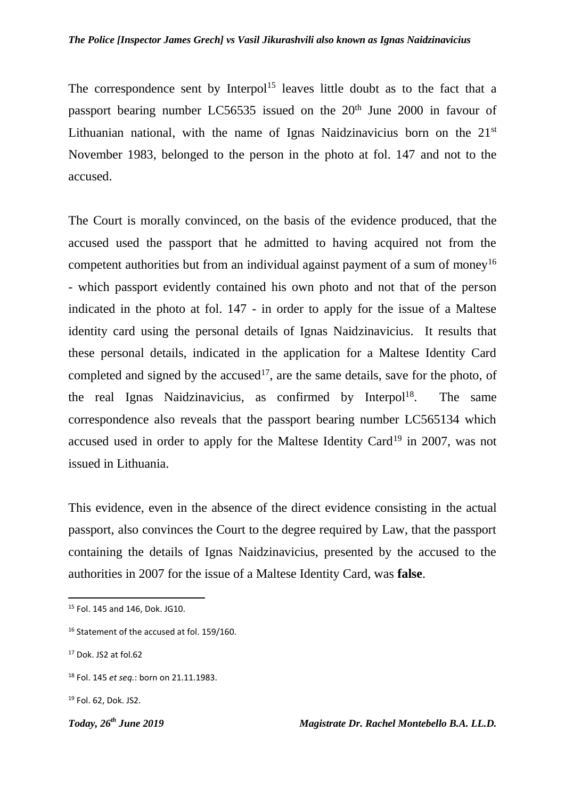The correspondence sent by Interpol<sup>15</sup> leaves little doubt as to the fact that a passport bearing number LC56535 issued on the  $20<sup>th</sup>$  June 2000 in favour of Lithuanian national, with the name of Ignas Naidzinavicius born on the  $21<sup>st</sup>$ November 1983, belonged to the person in the photo at fol. 147 and not to the accused.

The Court is morally convinced, on the basis of the evidence produced, that the accused used the passport that he admitted to having acquired not from the competent authorities but from an individual against payment of a sum of money<sup>16</sup> - which passport evidently contained his own photo and not that of the person indicated in the photo at fol. 147 - in order to apply for the issue of a Maltese identity card using the personal details of Ignas Naidzinavicius. It results that these personal details, indicated in the application for a Maltese Identity Card completed and signed by the  $accused^{17}$ , are the same details, save for the photo, of the real Ignas Naidzinavicius, as confirmed by Interpol<sup>18</sup>. . The same correspondence also reveals that the passport bearing number LC565134 which accused used in order to apply for the Maltese Identity Card<sup>19</sup> in 2007, was not issued in Lithuania.

This evidence, even in the absence of the direct evidence consisting in the actual passport, also convinces the Court to the degree required by Law, that the passport containing the details of Ignas Naidzinavicius, presented by the accused to the authorities in 2007 for the issue of a Maltese Identity Card, was **false**.

<sup>16</sup> Statement of the accused at fol. 159/160.

**.** 

<sup>18</sup> Fol. 145 *et seq.*: born on 21.11.1983.

<sup>19</sup> Fol. 62, Dok. JS2.

<sup>15</sup> Fol. 145 and 146, Dok. JG10.

 $17$  Dok. JS2 at fol.62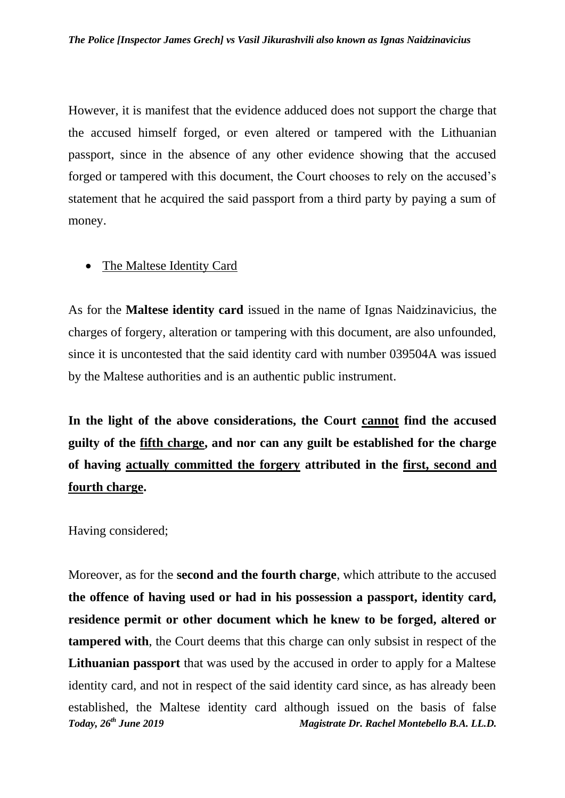However, it is manifest that the evidence adduced does not support the charge that the accused himself forged, or even altered or tampered with the Lithuanian passport, since in the absence of any other evidence showing that the accused forged or tampered with this document, the Court chooses to rely on the accused's statement that he acquired the said passport from a third party by paying a sum of money.

#### • The Maltese Identity Card

As for the **Maltese identity card** issued in the name of Ignas Naidzinavicius, the charges of forgery, alteration or tampering with this document, are also unfounded, since it is uncontested that the said identity card with number 039504A was issued by the Maltese authorities and is an authentic public instrument.

**In the light of the above considerations, the Court cannot find the accused guilty of the fifth charge, and nor can any guilt be established for the charge of having actually committed the forgery attributed in the first, second and fourth charge.** 

Having considered;

*Today, 26th June 2019 Magistrate Dr. Rachel Montebello B.A. LL.D.* Moreover, as for the **second and the fourth charge**, which attribute to the accused **the offence of having used or had in his possession a passport, identity card, residence permit or other document which he knew to be forged, altered or tampered with**, the Court deems that this charge can only subsist in respect of the **Lithuanian passport** that was used by the accused in order to apply for a Maltese identity card, and not in respect of the said identity card since, as has already been established, the Maltese identity card although issued on the basis of false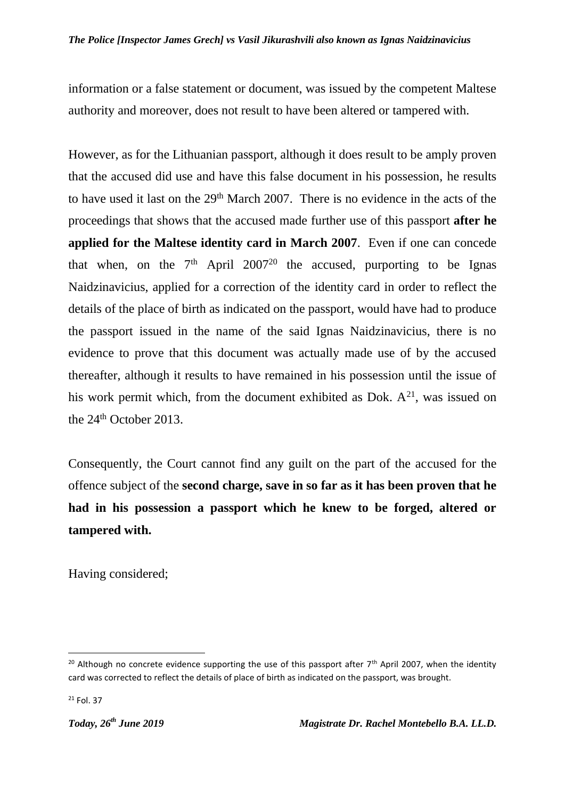information or a false statement or document, was issued by the competent Maltese authority and moreover, does not result to have been altered or tampered with.

However, as for the Lithuanian passport, although it does result to be amply proven that the accused did use and have this false document in his possession, he results to have used it last on the 29<sup>th</sup> March 2007. There is no evidence in the acts of the proceedings that shows that the accused made further use of this passport **after he applied for the Maltese identity card in March 2007**. Even if one can concede that when, on the  $7<sup>th</sup>$  April 2007<sup>20</sup> the accused, purporting to be Ignas Naidzinavicius, applied for a correction of the identity card in order to reflect the details of the place of birth as indicated on the passport, would have had to produce the passport issued in the name of the said Ignas Naidzinavicius, there is no evidence to prove that this document was actually made use of by the accused thereafter, although it results to have remained in his possession until the issue of his work permit which, from the document exhibited as Dok.  $A^{21}$ , was issued on the 24<sup>th</sup> October 2013.

Consequently, the Court cannot find any guilt on the part of the accused for the offence subject of the **second charge, save in so far as it has been proven that he had in his possession a passport which he knew to be forged, altered or tampered with.**

Having considered;

<sup>&</sup>lt;sup>20</sup> Although no concrete evidence supporting the use of this passport after 7<sup>th</sup> April 2007, when the identity card was corrected to reflect the details of place of birth as indicated on the passport, was brought.

<sup>21</sup> Fol. 37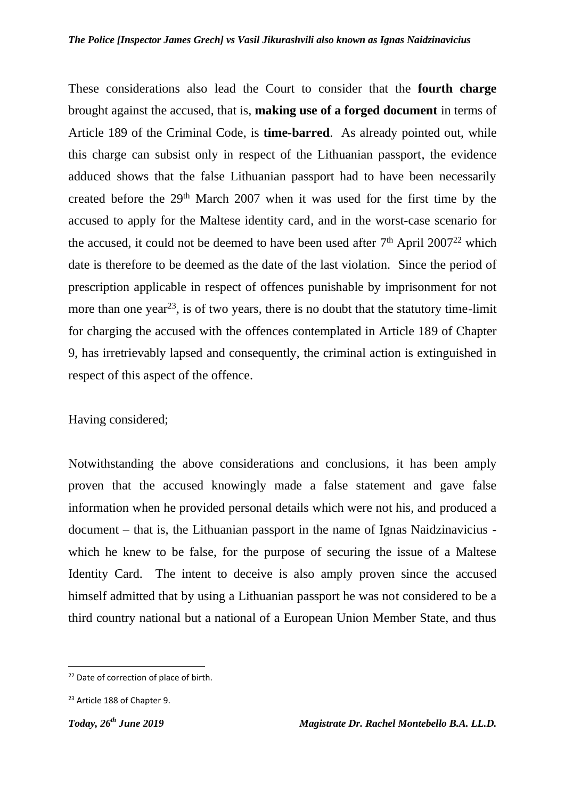These considerations also lead the Court to consider that the **fourth charge** brought against the accused, that is, **making use of a forged document** in terms of Article 189 of the Criminal Code, is **time-barred**. As already pointed out, while this charge can subsist only in respect of the Lithuanian passport, the evidence adduced shows that the false Lithuanian passport had to have been necessarily created before the 29<sup>th</sup> March 2007 when it was used for the first time by the accused to apply for the Maltese identity card, and in the worst-case scenario for the accused, it could not be deemed to have been used after  $7<sup>th</sup>$  April 2007<sup>22</sup> which date is therefore to be deemed as the date of the last violation. Since the period of prescription applicable in respect of offences punishable by imprisonment for not more than one year<sup>23</sup>, is of two years, there is no doubt that the statutory time-limit for charging the accused with the offences contemplated in Article 189 of Chapter 9, has irretrievably lapsed and consequently, the criminal action is extinguished in respect of this aspect of the offence.

Having considered;

Notwithstanding the above considerations and conclusions, it has been amply proven that the accused knowingly made a false statement and gave false information when he provided personal details which were not his, and produced a document – that is, the Lithuanian passport in the name of Ignas Naidzinavicius which he knew to be false, for the purpose of securing the issue of a Maltese Identity Card. The intent to deceive is also amply proven since the accused himself admitted that by using a Lithuanian passport he was not considered to be a third country national but a national of a European Union Member State, and thus

 $\overline{a}$ 

<sup>&</sup>lt;sup>22</sup> Date of correction of place of birth.

<sup>23</sup> Article 188 of Chapter 9.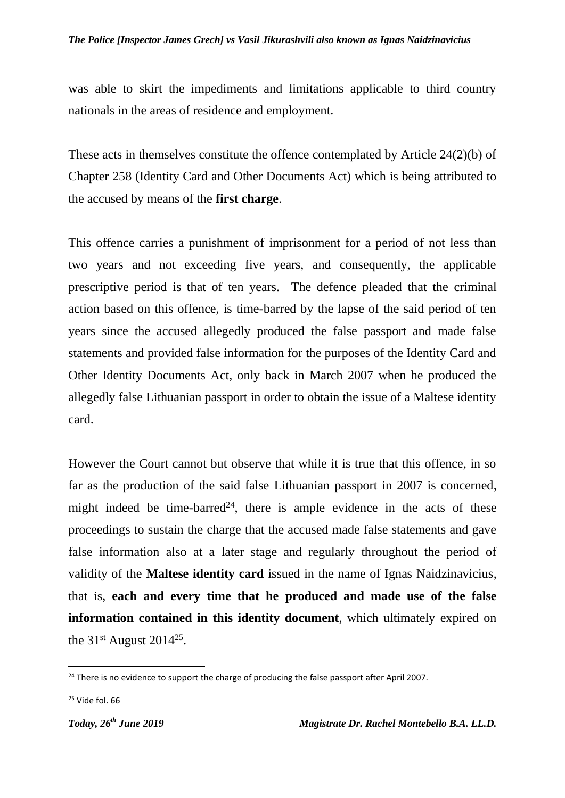was able to skirt the impediments and limitations applicable to third country nationals in the areas of residence and employment.

These acts in themselves constitute the offence contemplated by Article 24(2)(b) of Chapter 258 (Identity Card and Other Documents Act) which is being attributed to the accused by means of the **first charge**.

This offence carries a punishment of imprisonment for a period of not less than two years and not exceeding five years, and consequently, the applicable prescriptive period is that of ten years. The defence pleaded that the criminal action based on this offence, is time-barred by the lapse of the said period of ten years since the accused allegedly produced the false passport and made false statements and provided false information for the purposes of the Identity Card and Other Identity Documents Act, only back in March 2007 when he produced the allegedly false Lithuanian passport in order to obtain the issue of a Maltese identity card.

However the Court cannot but observe that while it is true that this offence, in so far as the production of the said false Lithuanian passport in 2007 is concerned, might indeed be time-barred<sup>24</sup>, there is ample evidence in the acts of these proceedings to sustain the charge that the accused made false statements and gave false information also at a later stage and regularly throughout the period of validity of the **Maltese identity card** issued in the name of Ignas Naidzinavicius, that is, **each and every time that he produced and made use of the false information contained in this identity document**, which ultimately expired on the  $31<sup>st</sup>$  August 2014<sup>25</sup>.

 $25$  Vide fol. 66

 $\overline{a}$ 

 $24$  There is no evidence to support the charge of producing the false passport after April 2007.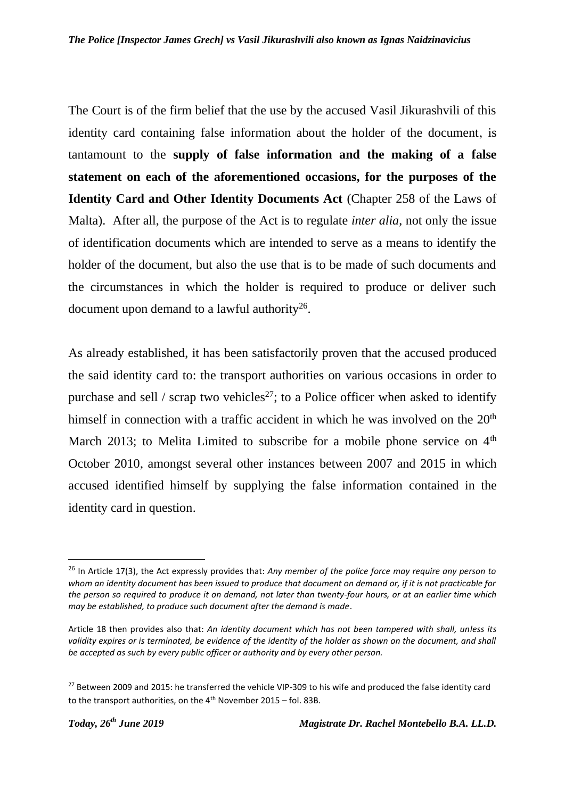The Court is of the firm belief that the use by the accused Vasil Jikurashvili of this identity card containing false information about the holder of the document, is tantamount to the **supply of false information and the making of a false statement on each of the aforementioned occasions, for the purposes of the Identity Card and Other Identity Documents Act** (Chapter 258 of the Laws of Malta). After all, the purpose of the Act is to regulate *inter alia*, not only the issue of identification documents which are intended to serve as a means to identify the holder of the document, but also the use that is to be made of such documents and the circumstances in which the holder is required to produce or deliver such document upon demand to a lawful authority<sup>26</sup>.

As already established, it has been satisfactorily proven that the accused produced the said identity card to: the transport authorities on various occasions in order to purchase and sell / scrap two vehicles<sup>27</sup>; to a Police officer when asked to identify himself in connection with a traffic accident in which he was involved on the 20<sup>th</sup> March 2013; to Melita Limited to subscribe for a mobile phone service on 4<sup>th</sup> October 2010, amongst several other instances between 2007 and 2015 in which accused identified himself by supplying the false information contained in the identity card in question.

1

<sup>26</sup> In Article 17(3), the Act expressly provides that: *Any member of the police force may require any person to whom an identity document has been issued to produce that document on demand or, if it is not practicable for the person so required to produce it on demand, not later than twenty-four hours, or at an earlier time which may be established, to produce such document after the demand is made*.

Article 18 then provides also that: *An identity document which has not been tampered with shall, unless its*  validity expires or is terminated, be evidence of the identity of the holder as shown on the document, and shall *be accepted as such by every public officer or authority and by every other person.*

<sup>&</sup>lt;sup>27</sup> Between 2009 and 2015: he transferred the vehicle VIP-309 to his wife and produced the false identity card to the transport authorities, on the  $4<sup>th</sup>$  November 2015 – fol. 83B.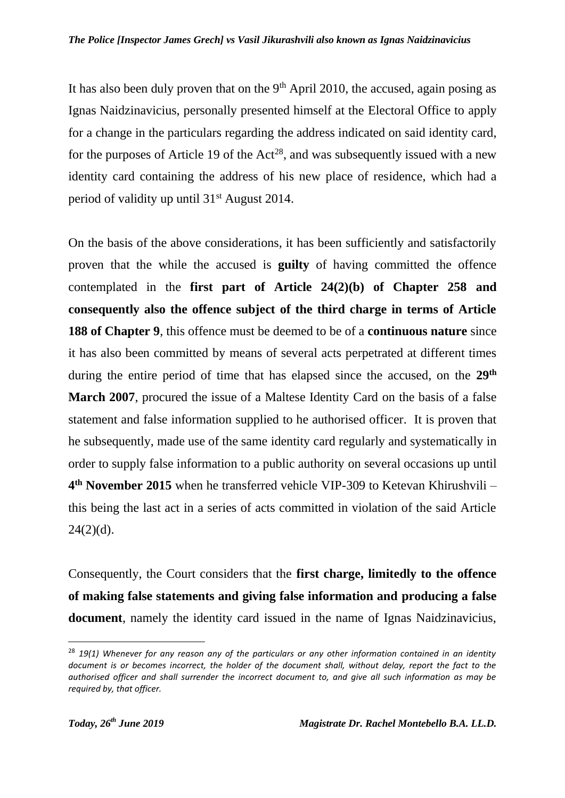It has also been duly proven that on the  $9<sup>th</sup>$  April 2010, the accused, again posing as Ignas Naidzinavicius, personally presented himself at the Electoral Office to apply for a change in the particulars regarding the address indicated on said identity card, for the purposes of Article 19 of the  $Act^{28}$ , and was subsequently issued with a new identity card containing the address of his new place of residence, which had a period of validity up until 31st August 2014.

On the basis of the above considerations, it has been sufficiently and satisfactorily proven that the while the accused is **guilty** of having committed the offence contemplated in the **first part of Article 24(2)(b) of Chapter 258 and consequently also the offence subject of the third charge in terms of Article 188 of Chapter 9**, this offence must be deemed to be of a **continuous nature** since it has also been committed by means of several acts perpetrated at different times during the entire period of time that has elapsed since the accused, on the **29th March 2007**, procured the issue of a Maltese Identity Card on the basis of a false statement and false information supplied to he authorised officer. It is proven that he subsequently, made use of the same identity card regularly and systematically in order to supply false information to a public authority on several occasions up until **4 th November 2015** when he transferred vehicle VIP-309 to Ketevan Khirushvili – this being the last act in a series of acts committed in violation of the said Article  $24(2)(d)$ .

Consequently, the Court considers that the **first charge, limitedly to the offence of making false statements and giving false information and producing a false document**, namely the identity card issued in the name of Ignas Naidzinavicius,

<sup>28</sup> *19(1) Whenever for any reason any of the particulars or any other information contained in an identity document is or becomes incorrect, the holder of the document shall, without delay, report the fact to the authorised officer and shall surrender the incorrect document to, and give all such information as may be required by, that officer.*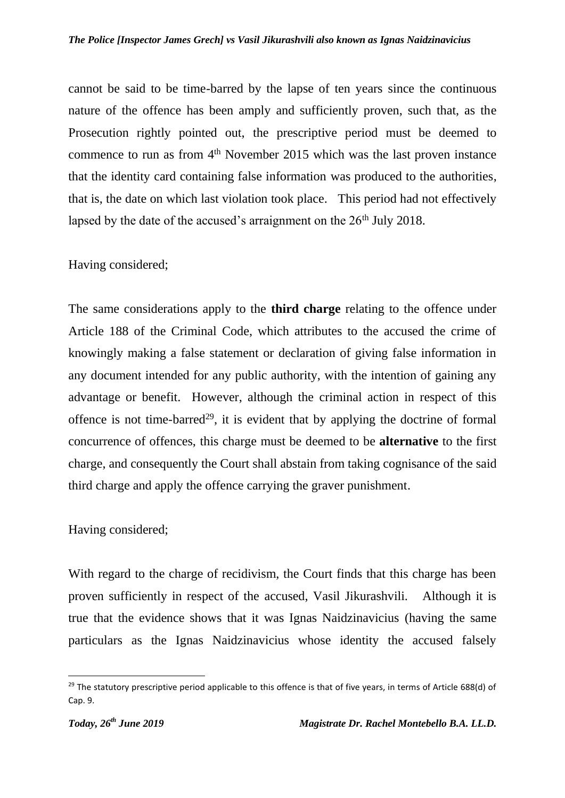cannot be said to be time-barred by the lapse of ten years since the continuous nature of the offence has been amply and sufficiently proven, such that, as the Prosecution rightly pointed out, the prescriptive period must be deemed to commence to run as from 4<sup>th</sup> November 2015 which was the last proven instance that the identity card containing false information was produced to the authorities, that is, the date on which last violation took place. This period had not effectively lapsed by the date of the accused's arraignment on the  $26<sup>th</sup>$  July 2018.

## Having considered;

The same considerations apply to the **third charge** relating to the offence under Article 188 of the Criminal Code, which attributes to the accused the crime of knowingly making a false statement or declaration of giving false information in any document intended for any public authority, with the intention of gaining any advantage or benefit. However, although the criminal action in respect of this offence is not time-barred<sup>29</sup>, it is evident that by applying the doctrine of formal concurrence of offences, this charge must be deemed to be **alternative** to the first charge, and consequently the Court shall abstain from taking cognisance of the said third charge and apply the offence carrying the graver punishment.

## Having considered;

With regard to the charge of recidivism, the Court finds that this charge has been proven sufficiently in respect of the accused, Vasil Jikurashvili. Although it is true that the evidence shows that it was Ignas Naidzinavicius (having the same particulars as the Ignas Naidzinavicius whose identity the accused falsely

 $^{29}$  The statutory prescriptive period applicable to this offence is that of five years, in terms of Article 688(d) of Cap. 9.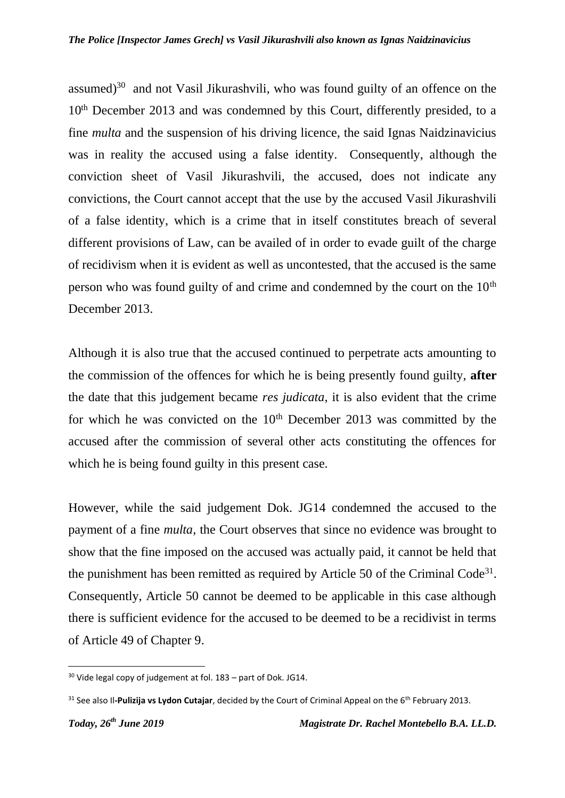assumed) $30$  and not Vasil Jikurashvili, who was found guilty of an offence on the 10<sup>th</sup> December 2013 and was condemned by this Court, differently presided, to a fine *multa* and the suspension of his driving licence, the said Ignas Naidzinavicius was in reality the accused using a false identity. Consequently, although the conviction sheet of Vasil Jikurashvili, the accused, does not indicate any convictions, the Court cannot accept that the use by the accused Vasil Jikurashvili of a false identity, which is a crime that in itself constitutes breach of several different provisions of Law, can be availed of in order to evade guilt of the charge of recidivism when it is evident as well as uncontested, that the accused is the same person who was found guilty of and crime and condemned by the court on the  $10<sup>th</sup>$ December 2013.

Although it is also true that the accused continued to perpetrate acts amounting to the commission of the offences for which he is being presently found guilty, **after** the date that this judgement became *res judicata*, it is also evident that the crime for which he was convicted on the  $10<sup>th</sup>$  December 2013 was committed by the accused after the commission of several other acts constituting the offences for which he is being found guilty in this present case.

However, while the said judgement Dok. JG14 condemned the accused to the payment of a fine *multa*, the Court observes that since no evidence was brought to show that the fine imposed on the accused was actually paid, it cannot be held that the punishment has been remitted as required by Article 50 of the Criminal Code<sup>31</sup>. Consequently, Article 50 cannot be deemed to be applicable in this case although there is sufficient evidence for the accused to be deemed to be a recidivist in terms of Article 49 of Chapter 9.

 $\overline{a}$ 

<sup>30</sup> Vide legal copy of judgement at fol. 183 – part of Dok. JG14.

<sup>&</sup>lt;sup>31</sup> See also Il-**Pulizija vs Lydon Cutajar**, decided by the Court of Criminal Appeal on the 6<sup>th</sup> February 2013.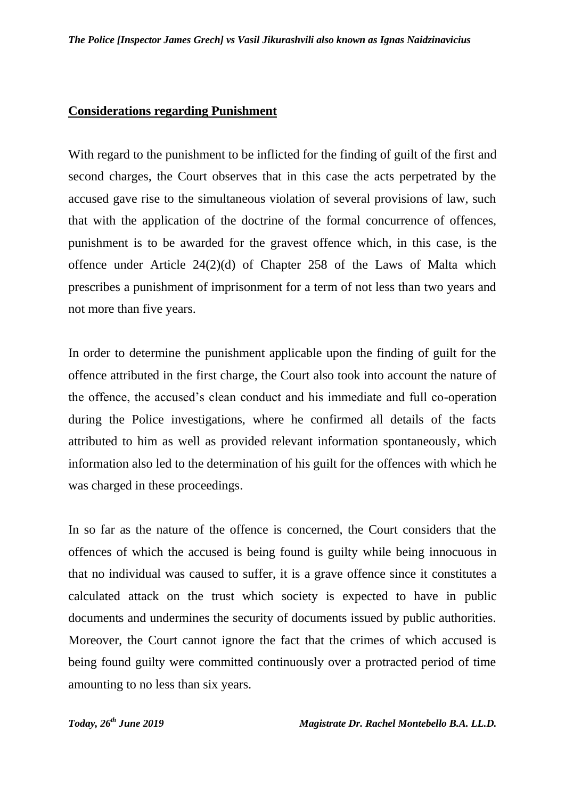#### **Considerations regarding Punishment**

With regard to the punishment to be inflicted for the finding of guilt of the first and second charges, the Court observes that in this case the acts perpetrated by the accused gave rise to the simultaneous violation of several provisions of law, such that with the application of the doctrine of the formal concurrence of offences, punishment is to be awarded for the gravest offence which, in this case, is the offence under Article 24(2)(d) of Chapter 258 of the Laws of Malta which prescribes a punishment of imprisonment for a term of not less than two years and not more than five years.

In order to determine the punishment applicable upon the finding of guilt for the offence attributed in the first charge, the Court also took into account the nature of the offence, the accused's clean conduct and his immediate and full co-operation during the Police investigations, where he confirmed all details of the facts attributed to him as well as provided relevant information spontaneously, which information also led to the determination of his guilt for the offences with which he was charged in these proceedings.

In so far as the nature of the offence is concerned, the Court considers that the offences of which the accused is being found is guilty while being innocuous in that no individual was caused to suffer, it is a grave offence since it constitutes a calculated attack on the trust which society is expected to have in public documents and undermines the security of documents issued by public authorities. Moreover, the Court cannot ignore the fact that the crimes of which accused is being found guilty were committed continuously over a protracted period of time amounting to no less than six years.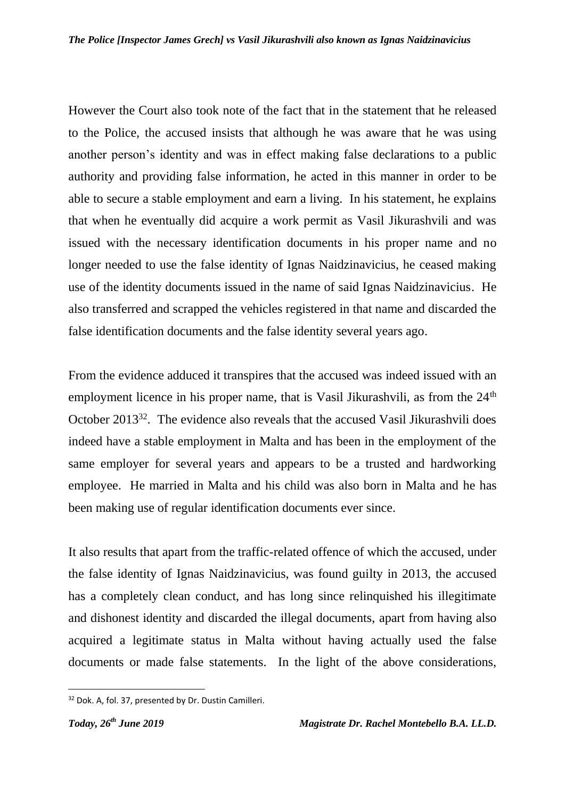However the Court also took note of the fact that in the statement that he released to the Police, the accused insists that although he was aware that he was using another person's identity and was in effect making false declarations to a public authority and providing false information, he acted in this manner in order to be able to secure a stable employment and earn a living. In his statement, he explains that when he eventually did acquire a work permit as Vasil Jikurashvili and was issued with the necessary identification documents in his proper name and no longer needed to use the false identity of Ignas Naidzinavicius, he ceased making use of the identity documents issued in the name of said Ignas Naidzinavicius. He also transferred and scrapped the vehicles registered in that name and discarded the false identification documents and the false identity several years ago.

From the evidence adduced it transpires that the accused was indeed issued with an employment licence in his proper name, that is Vasil Jikurashvili, as from the  $24<sup>th</sup>$ October 2013<sup>32</sup>. The evidence also reveals that the accused Vasil Jikurashvili does indeed have a stable employment in Malta and has been in the employment of the same employer for several years and appears to be a trusted and hardworking employee. He married in Malta and his child was also born in Malta and he has been making use of regular identification documents ever since.

It also results that apart from the traffic-related offence of which the accused, under the false identity of Ignas Naidzinavicius, was found guilty in 2013, the accused has a completely clean conduct, and has long since relinquished his illegitimate and dishonest identity and discarded the illegal documents, apart from having also acquired a legitimate status in Malta without having actually used the false documents or made false statements. In the light of the above considerations,

 $\overline{a}$ 

<sup>&</sup>lt;sup>32</sup> Dok. A, fol. 37, presented by Dr. Dustin Camilleri.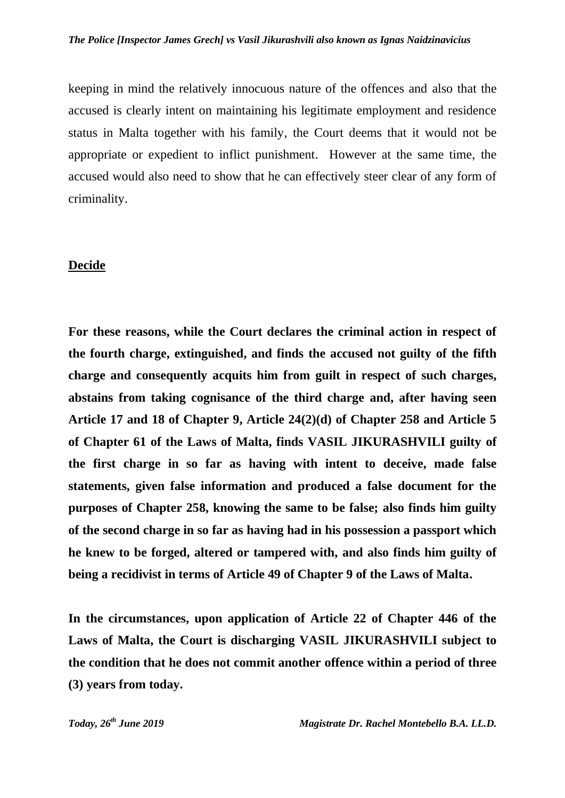keeping in mind the relatively innocuous nature of the offences and also that the accused is clearly intent on maintaining his legitimate employment and residence status in Malta together with his family, the Court deems that it would not be appropriate or expedient to inflict punishment. However at the same time, the accused would also need to show that he can effectively steer clear of any form of criminality.

#### **Decide**

**For these reasons, while the Court declares the criminal action in respect of the fourth charge, extinguished, and finds the accused not guilty of the fifth charge and consequently acquits him from guilt in respect of such charges, abstains from taking cognisance of the third charge and, after having seen Article 17 and 18 of Chapter 9, Article 24(2)(d) of Chapter 258 and Article 5 of Chapter 61 of the Laws of Malta, finds VASIL JIKURASHVILI guilty of the first charge in so far as having with intent to deceive, made false statements, given false information and produced a false document for the purposes of Chapter 258, knowing the same to be false; also finds him guilty of the second charge in so far as having had in his possession a passport which he knew to be forged, altered or tampered with, and also finds him guilty of being a recidivist in terms of Article 49 of Chapter 9 of the Laws of Malta.** 

**In the circumstances, upon application of Article 22 of Chapter 446 of the Laws of Malta, the Court is discharging VASIL JIKURASHVILI subject to the condition that he does not commit another offence within a period of three (3) years from today.**